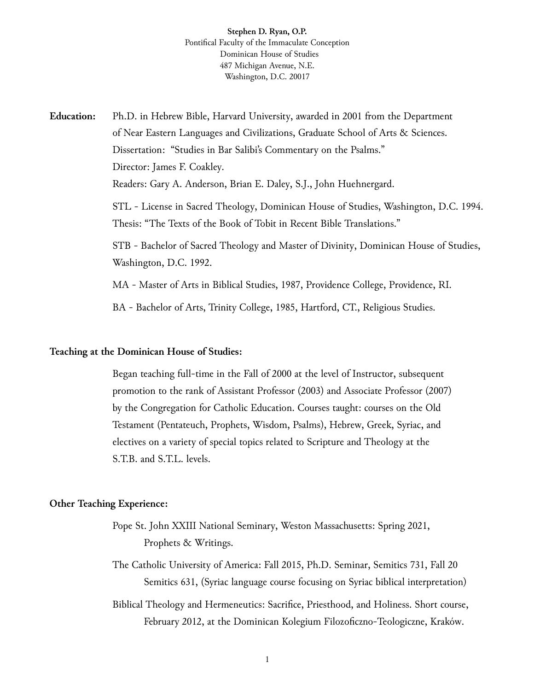# **Stephen D. Ryan, O.P.** Pontifical Faculty of the Immaculate Conception Dominican House of Studies 487 Michigan Avenue, N.E. Washington, D.C. 20017

Education: Ph.D. in Hebrew Bible, Harvard University, awarded in 2001 from the Department of Near Eastern Languages and Civilizations, Graduate School of Arts & Sciences. Dissertation: "Studies in Bar Salibi's Commentary on the Psalms." Director: James F. Coakley. Readers: Gary A. Anderson, Brian E. Daley, S.J., John Huehnergard. STL - License in Sacred Theology, Dominican House of Studies, Washington, D.C. 1994. Thesis: "The Texts of the Book of Tobit in Recent Bible Translations." STB - Bachelor of Sacred Theology and Master of Divinity, Dominican House of Studies, Washington, D.C. 199⒉

MA - Master of Arts in Biblical Studies, 1987, Providence College, Providence, RI.

BA - Bachelor of Arts, Trinity College, 1985, Hartford, CT., Religious Studies.

## **Teaching at the Dominican House of Studies:**

Began teaching full-time in the Fall of 2000 at the level of Instructor, subsequent promotion to the rank of Assistant Professor (2003) and Associate Professor (2007) by the Congregation for Catholic Education. Courses taught: courses on the Old Testament (Pentateuch, Prophets, Wisdom, Psalms), Hebrew, Greek, Syriac, and electives on a variety of special topics related to Scripture and Theology at the S.T.B. and S.T.L. levels.

## **Other Teaching Experience:**

- Pope St. John XXIII National Seminary, Weston Massachusetts: Spring 2021, Prophets & Writings.
- The Catholic University of America: Fall 2015, Ph.D. Seminar, Semitics 731, Fall 20 Semitics 631, (Syriac language course focusing on Syriac biblical interpretation)
- Biblical Theology and Hermeneutics: Sacrifice, Priesthood, and Holiness. Short course, February 2012, at the Dominican Kolegium Filozoficzno-Teologiczne, Kraków.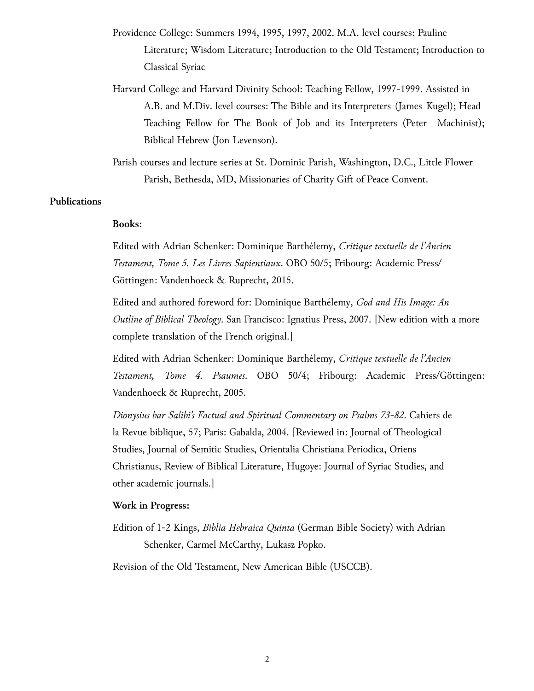- Providence College: Summers 1994, 1995, 1997, 200⒉ M.A. level courses: Pauline Literature; Wisdom Literature; Introduction to the Old Testament; Introduction to Classical Syriac
- Harvard College and Harvard Divinity School: Teaching Fellow, 1997-199⒐ Assisted in A.B. and M.Div. level courses: The Bible and its Interpreters (James Kugel); Head Teaching Fellow for The Book of Job and its Interpreters (Peter Machinist); Biblical Hebrew (Jon Levenson).

Parish courses and lecture series at St. Dominic Parish, Washington, D.C., Little Flower Parish, Bethesda, MD, Missionaries of Charity Gift of Peace Convent.

## **Publications**

### **Books:**

Edited with Adrian Schenker: Dominique Barthélemy, *Critique textuelle de l'Ancien Testament, Tome 5. Les Livres Sapientiaux*. OBO 50/5; Fribourg: Academic Press/ Göttingen: Vandenhoeck & Ruprecht, 2015.

Edited and authored foreword for: Dominique Barthélemy, *God and His Image: An Outline of Biblical Theology*. San Francisco: Ignatius Press, 2007. [New edition with a more complete translation of the French original.]

Edited with Adrian Schenker: Dominique Barthélemy, *Critique textuelle de l'Ancien Testament, Tome 4. Psaumes*. OBO 50/4; Fribourg: Academic Press/Göttingen: Vandenhoeck & Ruprecht, 2005.

*Dionysius bar Salibi's Factual and Spiritual Commentary on Psalms 73-82*. Cahiers de la Revue biblique, 57; Paris: Gabalda, 2004. [Reviewed in: Journal of Theological Studies, Journal of Semitic Studies, Orientalia Christiana Periodica, Oriens Christianus, Review of Biblical Literature, Hugoye: Journal of Syriac Studies, and other academic journals.]

#### **Work in Progress:**

Edition of 1-2 Kings, *Biblia Hebraica Quinta* (German Bible Society) with Adrian Schenker, Carmel McCarthy, Lukasz Popko.

Revision of the Old Testament, New American Bible (USCCB).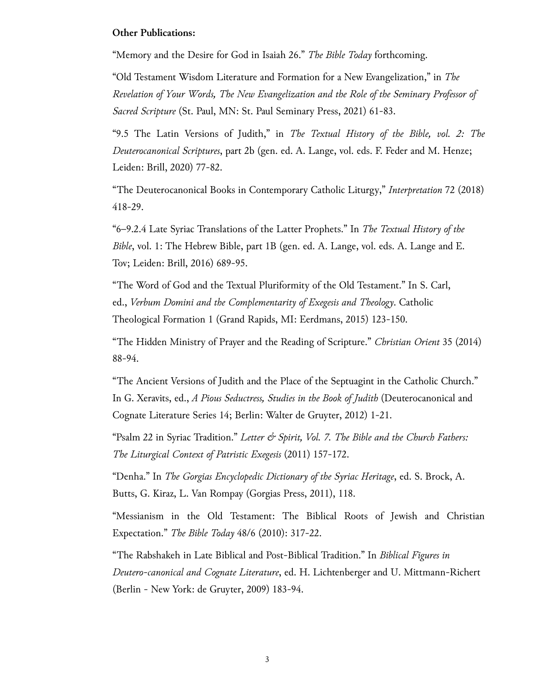### **Other Publications:**

"Memory and the Desire for God in Isaiah 2⒍" *The Bible Today* forthcoming.

"Old Testament Wisdom Literature and Formation for a New Evangelization," in *The Revelation of Your Words, The New Evangelization and the Role of the Seminary Professor of Sacred Scripture* (St. Paul, MN: St. Paul Seminary Press, 2021) 61-8⒊

"⒐5 The Latin Versions of Judith," in *The Textual History of the Bible, vol. 2: The Deuterocanonical Scriptures*, part 2b (gen. ed. A. Lange, vol. eds. F. Feder and M. Henze; Leiden: Brill, 2020) 77-8⒉

"The Deuterocanonical Books in Contemporary Catholic Liturgy," *Interpretation* 72 (2018) 418-2⒐

"6–⒐⒉4 Late Syriac Translations of the Latter Prophets." In *The Textual History of the Bible*, vol. 1: The Hebrew Bible, part 1B (gen. ed. A. Lange, vol. eds. A. Lange and E. Tov; Leiden: Brill, 2016) 689-95.

"The Word of God and the Textual Pluriformity of the Old Testament." In S. Carl, ed., *Verbum Domini and the Complementarity of Exegesis and Theology*. Catholic Theological Formation 1 (Grand Rapids, MI: Eerdmans, 2015) 123-150.

"The Hidden Ministry of Prayer and the Reading of Scripture." *Christian Orient* 35 (2014) 88-94.

"The Ancient Versions of Judith and the Place of the Septuagint in the Catholic Church." In G. Xeravits, ed., *A Pious Seductress, Studies in the Book of Judith* (Deuterocanonical and Cognate Literature Series 14; Berlin: Walter de Gruyter, 2012) 1-2⒈

"Psalm 22 in Syriac Tradition." *Letter & Spirit, Vol. 7. The Bible and the Church Fathers: The Liturgical Context of Patristic Exegesis* (2011) 157-17⒉

"Denha." In *The Gorgias Encyclopedic Dictionary of the Syriac Heritage*, ed. S. Brock, A. Butts, G. Kiraz, L. Van Rompay (Gorgias Press, 2011), 118.

"Messianism in the Old Testament: The Biblical Roots of Jewish and Christian Expectation." *The Bible Today* 48/6 (2010): 317-2⒉

"The Rabshakeh in Late Biblical and Post-Biblical Tradition." In *Biblical Figures in Deutero-canonical and Cognate Literature*, ed. H. Lichtenberger and U. Mittmann-Richert (Berlin - New York: de Gruyter, 2009) 183-9⒋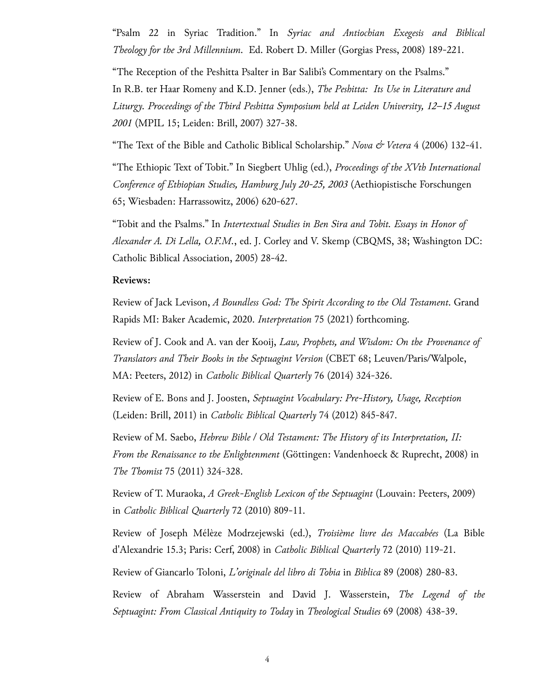"Psalm 22 in Syriac Tradition." In *Syriac and Antiochian Exegesis and Biblical Theology for the 3rd Millennium*. Ed. Robert D. Miller (Gorgias Press, 2008) 189-22⒈

"The Reception of the Peshitta Psalter in Bar Salibi's Commentary on the Psalms." In R.B. ter Haar Romeny and K.D. Jenner (eds.), *The Peshitta: Its Use in Literature and Liturgy. Proceedings of the Third Peshitta Symposium held at Leiden University, 12–15 August 2001* (MPIL 15; Leiden: Brill, 2007) 327-3⒏

"The Text of the Bible and Catholic Biblical Scholarship." *Nova & Vetera* 4 (2006) 132-4⒈

"The Ethiopic Text of Tobit." In Siegbert Uhlig (ed.), *Proceedings of the XVth International Conference of Ethiopian Studies, Hamburg July 20-25, 2003* (Aethiopistische Forschungen 65; Wiesbaden: Harrassowitz, 2006) 620-62⒎

"Tobit and the Psalms." In *Intertextual Studies in Ben Sira and Tobit. Essays in Honor of Alexander A. Di Lella, O.F.M.*, ed. J. Corley and V. Skemp (CBQMS, 38; Washington DC: Catholic Biblical Association, 2005) 28-4⒉

## **Reviews:**

Review of Jack Levison, *A Boundless God: The Spirit According to the Old Testament*. Grand Rapids MI: Baker Academic, 2020. *Interpretation* 75 (2021) forthcoming.

Review of J. Cook and A. van der Kooij, *Law, Prophets, and Wisdom: On the Provenance of Translators and Their Books in the Septuagint Version* (CBET 68; Leuven/Paris/Walpole, MA: Peeters, 2012) in *Catholic Biblical Quarterly* 76 (2014) 324-32⒍

Review of E. Bons and J. Joosten, *Septuagint Vocabulary: Pre-History, Usage, Reception* (Leiden: Brill, 2011) in *Catholic Biblical Quarterly* 74 (2012) 845-84⒎

Review of M. Saebo, *Hebrew Bible / Old Testament: The History of its Interpretation, II: From the Renaissance to the Enlightenment* (Göttingen: Vandenhoeck & Ruprecht, 2008) in *The Thomist* 75 (2011) 324-32⒏

Review of T. Muraoka, *A Greek-English Lexicon of the Septuagint* (Louvain: Peeters, 2009) in *Catholic Biblical Quarterly* 72 (2010) 809-11.

Review of Joseph Mélèze Modrzejewski (ed.), *Troisième livre des Maccabées* (La Bible d'Alexandrie ⒖3; Paris: Cerf, 2008) in *Catholic Biblical Quarterly* 72 (2010) 119-2⒈

Review of Giancarlo Toloni, *L'originale del libro di Tobia* in *Biblica* 89 (2008) 280-8⒊

Review of Abraham Wasserstein and David J. Wasserstein, *The Legend of the Septuagint: From Classical Antiquity to Today* in *Theological Studies* 69 (2008) 438-3⒐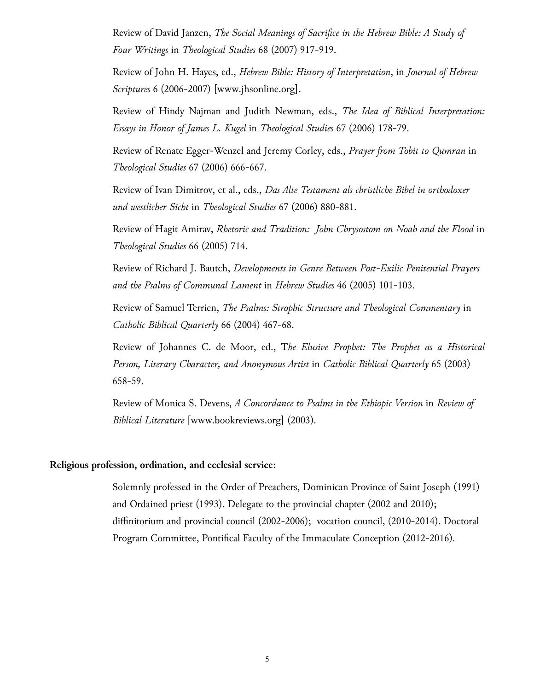Review of David Janzen, *The Social Meanings of Sacrifice in the Hebrew Bible: A Study of Four Writings* in *Theological Studies* 68 (2007) 917-9⒚

Review of John H. Hayes, ed., *Hebrew Bible: History of Interpretation*, in *Journal of Hebrew Scriptures* 6 (2006-2007) [www.jhsonline.org].

Review of Hindy Najman and Judith Newman, eds., *The Idea of Biblical Interpretation: Essays in Honor of James L. Kugel* in *Theological Studies* 67 (2006) 178-7⒐

Review of Renate Egger-Wenzel and Jeremy Corley, eds., *Prayer fom Tobit to Qumran* in *Theological Studies* 67 (2006) 666-66⒎

Review of Ivan Dimitrov, et al., eds., *Das Alte Testament als christliche Bibel in orthodoxer und westlicher Sicht* in *Theological Studies* 67 (2006) 880-88⒈

Review of Hagit Amirav, *Rhetoric and Tradition: John Chrysostom on Noah and the Flood* in *Theological Studies* 66 (2005) 7⒕

Review of Richard J. Bautch, *Developments in Genre Between Post-Exilic Penitential Prayers and the Psalms of Communal Lament* in *Hebrew Studies* 46 (2005) 101-10⒊

Review of Samuel Terrien, *The Psalms: Strophic Structure and Theological Commentary* in *Catholic Biblical Quarterly* 66 (2004) 467-6⒏

Review of Johannes C. de Moor, ed., T*he Elusive Prophet: The Prophet as a Historical Person, Literary Character, and Anonymous Artist* in *Catholic Biblical Quarterly* 65 (2003) 658-5⒐

Review of Monica S. Devens, *A Concordance to Psalms in the Ethiopic Version* in *Review of Biblical Literature* [www.bookreviews.org] (2003).

### **Religious profession, ordination, and ecclesial service:**

Solemnly professed in the Order of Preachers, Dominican Province of Saint Joseph (1991) and Ordained priest (1993). Delegate to the provincial chapter (2002 and 2010); diffinitorium and provincial council (2002-2006); vocation council, (2010-2014). Doctoral Program Committee, Pontifical Faculty of the Immaculate Conception (2012-2016).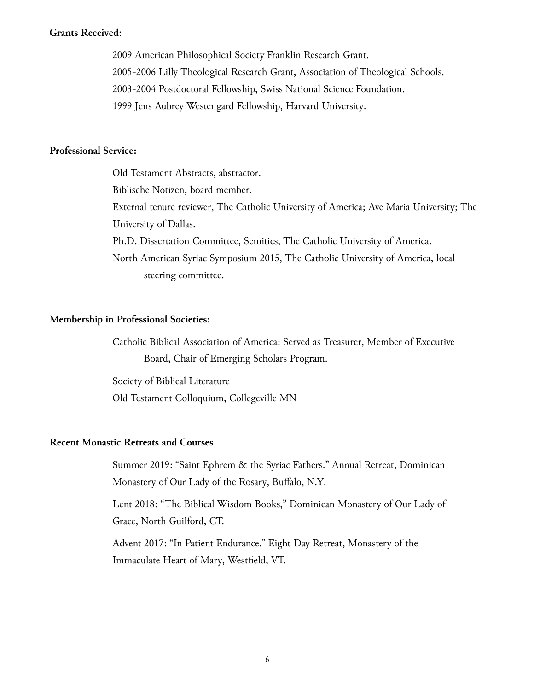### **Grants Received:**

2009 American Philosophical Society Franklin Research Grant. 2005-2006 Lilly Theological Research Grant, Association of Theological Schools. 2003-2004 Postdoctoral Fellowship, Swiss National Science Foundation. 1999 Jens Aubrey Westengard Fellowship, Harvard University.

# **Professional Service:**

Old Testament Abstracts, abstractor. Biblische Notizen, board member. External tenure reviewer, The Catholic University of America; Ave Maria University; The University of Dallas. Ph.D. Dissertation Committee, Semitics, The Catholic University of America. North American Syriac Symposium 2015, The Catholic University of America, local steering committee.

## **Membership in Professional Societies:**

Catholic Biblical Association of America: Served as Treasurer, Member of Executive Board, Chair of Emerging Scholars Program.

Society of Biblical Literature Old Testament Colloquium, Collegeville MN

# **Recent Monastic Retreats and Courses**

Summer 2019: "Saint Ephrem & the Syriac Fathers." Annual Retreat, Dominican Monastery of Our Lady of the Rosary, Buffalo, N.Y.

Lent 2018: "The Biblical Wisdom Books," Dominican Monastery of Our Lady of Grace, North Guilford, CT.

Advent 2017: "In Patient Endurance." Eight Day Retreat, Monastery of the Immaculate Heart of Mary, Westfield, VT.